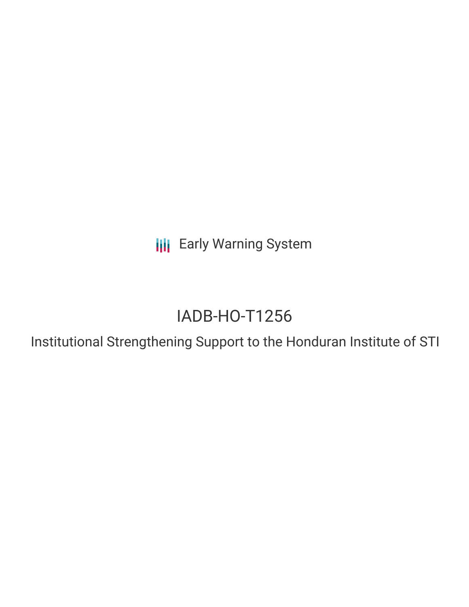**III** Early Warning System

# IADB-HO-T1256

Institutional Strengthening Support to the Honduran Institute of STI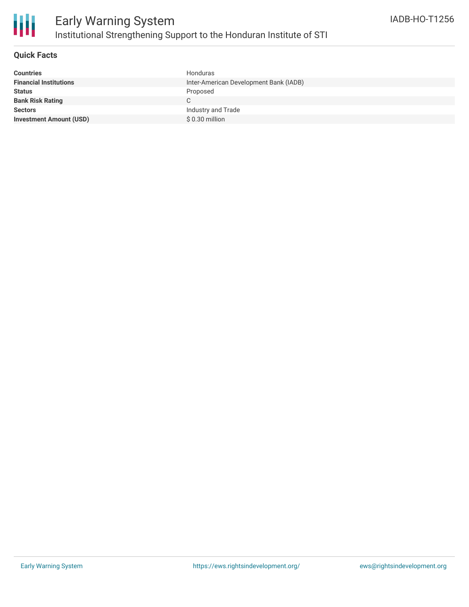

### **Quick Facts**

| <b>Countries</b>               | Honduras                               |
|--------------------------------|----------------------------------------|
| <b>Financial Institutions</b>  | Inter-American Development Bank (IADB) |
| <b>Status</b>                  | Proposed                               |
| <b>Bank Risk Rating</b>        |                                        |
| <b>Sectors</b>                 | Industry and Trade                     |
| <b>Investment Amount (USD)</b> | $$0.30$ million                        |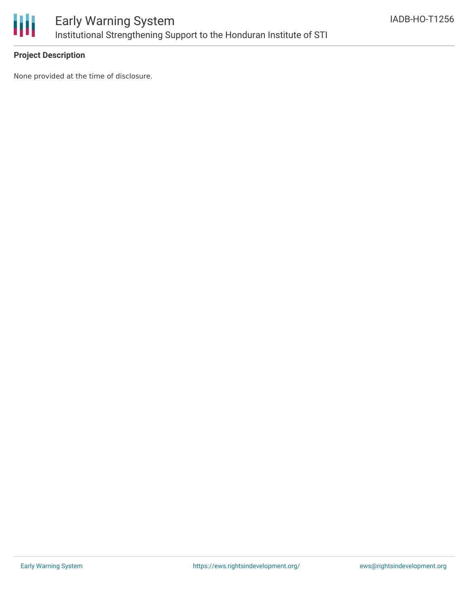

### **Project Description**

None provided at the time of disclosure.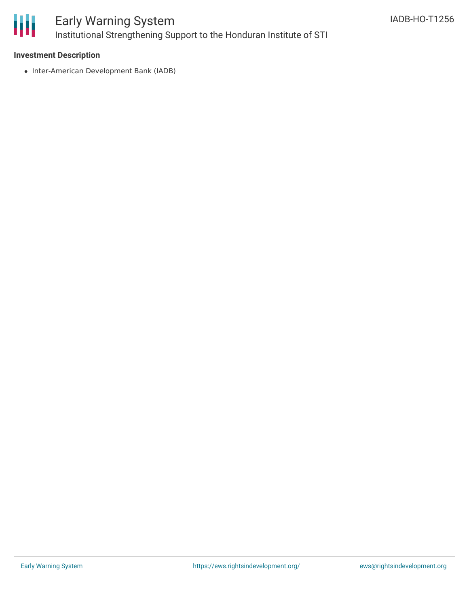

## Early Warning System Institutional Strengthening Support to the Honduran Institute of STI

### **Investment Description**

• Inter-American Development Bank (IADB)